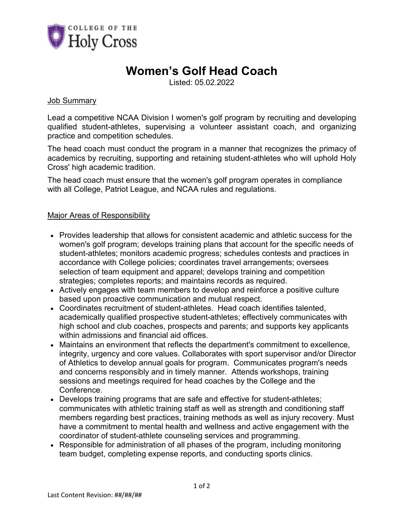

### **Women's Golf Head Coach**

Listed: 05.02.2022

#### Job Summary

Lead a competitive NCAA Division I women's golf program by recruiting and developing qualified student-athletes, supervising a volunteer assistant coach, and organizing practice and competition schedules.

The head coach must conduct the program in a manner that recognizes the primacy of academics by recruiting, supporting and retaining student-athletes who will uphold Holy Cross' high academic tradition.

The head coach must ensure that the women's golf program operates in compliance with all College, Patriot League, and NCAA rules and regulations.

#### Major Areas of Responsibility

- Provides leadership that allows for consistent academic and athletic success for the women's golf program; develops training plans that account for the specific needs of student-athletes; monitors academic progress; schedules contests and practices in accordance with College policies; coordinates travel arrangements; oversees selection of team equipment and apparel; develops training and competition strategies; completes reports; and maintains records as required.
- Actively engages with team members to develop and reinforce a positive culture based upon proactive communication and mutual respect.
- Coordinates recruitment of student-athletes. Head coach identifies talented, academically qualified prospective student-athletes; effectively communicates with high school and club coaches, prospects and parents; and supports key applicants within admissions and financial aid offices.
- Maintains an environment that reflects the department's commitment to excellence, integrity, urgency and core values. Collaborates with sport supervisor and/or Director of Athletics to develop annual goals for program. Communicates program's needs and concerns responsibly and in timely manner. Attends workshops, training sessions and meetings required for head coaches by the College and the **Conference**
- Develops training programs that are safe and effective for student-athletes; communicates with athletic training staff as well as strength and conditioning staff members regarding best practices, training methods as well as injury recovery. Must have a commitment to mental health and wellness and active engagement with the coordinator of student-athlete counseling services and programming.
- Responsible for administration of all phases of the program, including monitoring team budget, completing expense reports, and conducting sports clinics.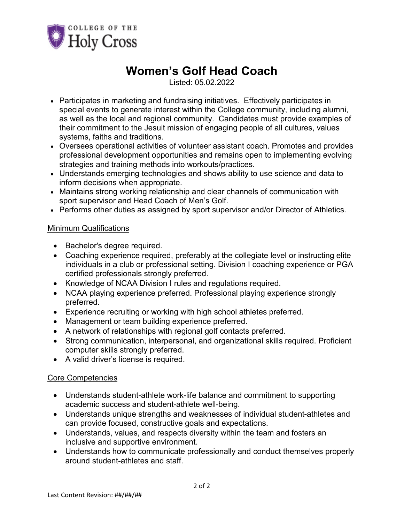

## **Women's Golf Head Coach**

Listed: 05.02.2022

- Participates in marketing and fundraising initiatives. Effectively participates in special events to generate interest within the College community, including alumni, as well as the local and regional community. Candidates must provide examples of their commitment to the Jesuit mission of engaging people of all cultures, values systems, faiths and traditions.
- Oversees operational activities of volunteer assistant coach. Promotes and provides professional development opportunities and remains open to implementing evolving strategies and training methods into workouts/practices.
- Understands emerging technologies and shows ability to use science and data to inform decisions when appropriate.
- Maintains strong working relationship and clear channels of communication with sport supervisor and Head Coach of Men's Golf.
- Performs other duties as assigned by sport supervisor and/or Director of Athletics.

#### Minimum Qualifications

- Bachelor's degree required.
- Coaching experience required, preferably at the collegiate level or instructing elite individuals in a club or professional setting. Division I coaching experience or PGA certified professionals strongly preferred.
- Knowledge of NCAA Division I rules and regulations required.
- NCAA playing experience preferred. Professional playing experience strongly preferred.
- Experience recruiting or working with high school athletes preferred.
- Management or team building experience preferred.
- A network of relationships with regional golf contacts preferred.
- Strong communication, interpersonal, and organizational skills required. Proficient computer skills strongly preferred.
- A valid driver's license is required.

### Core Competencies

- Understands student-athlete work-life balance and commitment to supporting academic success and student-athlete well-being.
- Understands unique strengths and weaknesses of individual student-athletes and can provide focused, constructive goals and expectations.
- Understands, values, and respects diversity within the team and fosters an inclusive and supportive environment.
- Understands how to communicate professionally and conduct themselves properly around student-athletes and staff.